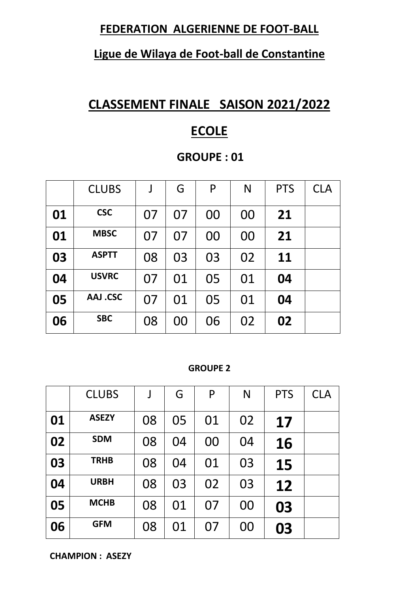### **FEDERATION ALGERIENNE DE FOOT-BALL**

### **Ligue de Wilaya de Foot-ball de Constantine**

# **CLASSEMENT FINALE SAISON 2021/2022**

## **ECOLE**

### **GROUPE : 01**

|    | <b>CLUBS</b>    | J  | G  | P  | N  | <b>PTS</b> | <b>CLA</b> |
|----|-----------------|----|----|----|----|------------|------------|
| 01 | <b>CSC</b>      | 07 | 07 | 00 | 00 | 21         |            |
| 01 | <b>MBSC</b>     | 07 | 07 | 00 | 00 | 21         |            |
| 03 | <b>ASPTT</b>    | 08 | 03 | 03 | 02 | <b>11</b>  |            |
| 04 | <b>USVRC</b>    | 07 | 01 | 05 | 01 | 04         |            |
| 05 | <b>AAJ .CSC</b> | 07 | 01 | 05 | 01 | 04         |            |
| 06 | <b>SBC</b>      | 08 | 00 | 06 | 02 | 02         |            |

#### **GROUPE 2**

|    | <b>CLUBS</b> |    | G  | P  | N  | <b>PTS</b> | <b>CLA</b> |
|----|--------------|----|----|----|----|------------|------------|
| 01 | <b>ASEZY</b> | 08 | 05 | 01 | 02 | 17         |            |
| 02 | <b>SDM</b>   | 08 | 04 | 00 | 04 | 16         |            |
| 03 | <b>TRHB</b>  | 08 | 04 | 01 | 03 | 15         |            |
| 04 | <b>URBH</b>  | 08 | 03 | 02 | 03 | 12         |            |
| 05 | <b>MCHB</b>  | 08 | 01 | 07 | 00 | 03         |            |
| 06 | <b>GFM</b>   | 08 | 01 | 07 | 00 | 03         |            |

**CHAMPION : ASEZY**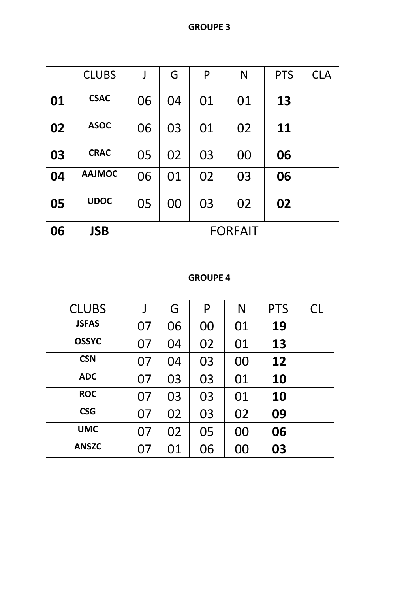|    | <b>CLUBS</b>  | $\int$ | G              | P  | N  | <b>PTS</b> | <b>CLA</b> |  |  |  |
|----|---------------|--------|----------------|----|----|------------|------------|--|--|--|
| 01 | <b>CSAC</b>   | 06     | 04             | 01 | 01 | 13         |            |  |  |  |
| 02 | <b>ASOC</b>   | 06     | 03             | 01 | 02 | <b>11</b>  |            |  |  |  |
| 03 | <b>CRAC</b>   | 05     | 02             | 03 | 00 | 06         |            |  |  |  |
| 04 | <b>AAJMOC</b> | 06     | 01             | 02 | 03 | 06         |            |  |  |  |
| 05 | <b>UDOC</b>   | 05     | 00             | 03 | 02 | 02         |            |  |  |  |
| 06 | <b>JSB</b>    |        | <b>FORFAIT</b> |    |    |            |            |  |  |  |

#### **GROUPE 4**

| <b>CLUBS</b> |    | G  | P  | N  | <b>PTS</b> | <b>CL</b> |
|--------------|----|----|----|----|------------|-----------|
| <b>JSFAS</b> | 07 | 06 | 00 | 01 | 19         |           |
| <b>OSSYC</b> | 07 | 04 | 02 | 01 | 13         |           |
| <b>CSN</b>   | 07 | 04 | 03 | 00 | 12         |           |
| <b>ADC</b>   | 07 | 03 | 03 | 01 | 10         |           |
| <b>ROC</b>   | 07 | 03 | 03 | 01 | 10         |           |
| <b>CSG</b>   | 07 | 02 | 03 | 02 | 09         |           |
| <b>UMC</b>   | 07 | 02 | 05 | 00 | 06         |           |
| <b>ANSZC</b> | 07 | 01 | 06 | 00 | 03         |           |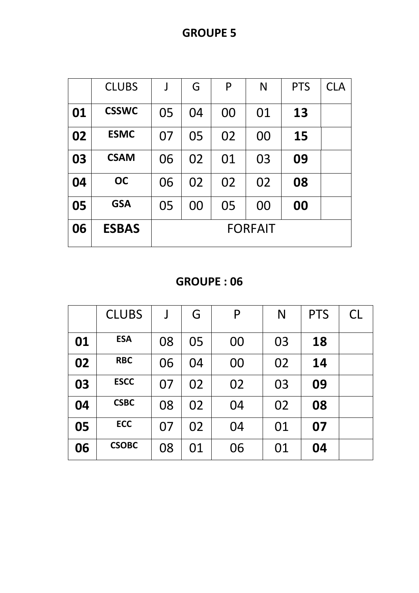**GROUPE 5**

|    | <b>CLUBS</b> | J  | G  | P  | N              | <b>PTS</b> | <b>CLA</b> |
|----|--------------|----|----|----|----------------|------------|------------|
| 01 | <b>CSSWC</b> | 05 | 04 | 00 | 01             | 13         |            |
| 02 | <b>ESMC</b>  | 07 | 05 | 02 | 00             | 15         |            |
| 03 | <b>CSAM</b>  | 06 | 02 | 01 | 03             | 09         |            |
| 04 | <b>OC</b>    | 06 | 02 | 02 | 02             | 08         |            |
| 05 | <b>GSA</b>   | 05 | 00 | 05 | 00             | 00         |            |
| 06 | <b>ESBAS</b> |    |    |    | <b>FORFAIT</b> |            |            |

**GROUPE : 06**

|    | <b>CLUBS</b> | J  | G  | P  | N  | <b>PTS</b> | <b>CL</b> |
|----|--------------|----|----|----|----|------------|-----------|
| 01 | <b>ESA</b>   | 08 | 05 | 00 | 03 | 18         |           |
| 02 | <b>RBC</b>   | 06 | 04 | 00 | 02 | 14         |           |
| 03 | <b>ESCC</b>  | 07 | 02 | 02 | 03 | 09         |           |
| 04 | <b>CSBC</b>  | 08 | 02 | 04 | 02 | 08         |           |
| 05 | <b>ECC</b>   | 07 | 02 | 04 | 01 | 07         |           |
| 06 | <b>CSOBC</b> | 08 | 01 | 06 | 01 | 04         |           |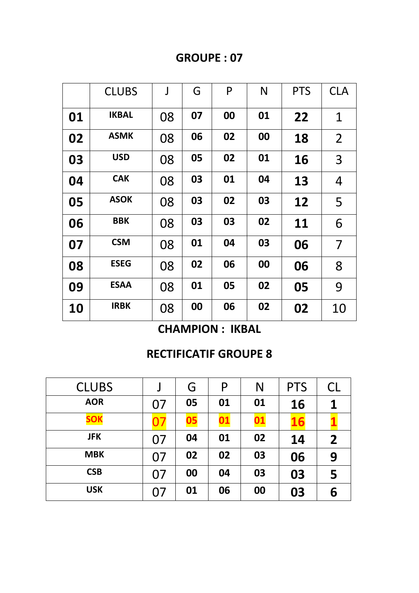### **GROUPE : 07**

|    | <b>CLUBS</b> | J  | G  | P  | N  | <b>PTS</b> | <b>CLA</b>     |
|----|--------------|----|----|----|----|------------|----------------|
| 01 | <b>IKBAL</b> | 08 | 07 | 00 | 01 | 22         | $\mathbf 1$    |
| 02 | <b>ASMK</b>  | 08 | 06 | 02 | 00 | 18         | $\overline{2}$ |
| 03 | <b>USD</b>   | 08 | 05 | 02 | 01 | <b>16</b>  | 3              |
| 04 | <b>CAK</b>   | 08 | 03 | 01 | 04 | 13         | 4              |
| 05 | <b>ASOK</b>  | 08 | 03 | 02 | 03 | 12         | 5              |
| 06 | <b>BBK</b>   | 08 | 03 | 03 | 02 | 11         | 6              |
| 07 | <b>CSM</b>   | 08 | 01 | 04 | 03 | 06         | 7              |
| 08 | <b>ESEG</b>  | 08 | 02 | 06 | 00 | 06         | 8              |
| 09 | <b>ESAA</b>  | 08 | 01 | 05 | 02 | 05         | 9              |
| 10 | <b>IRBK</b>  | 08 | 00 | 06 | 02 | 02         | 10             |

**CHAMPION : IKBAL**

## **RECTIFICATIF GROUPE 8**

| <b>CLUBS</b> |    | G  | P         | N         | <b>PTS</b> | <b>CL</b>               |
|--------------|----|----|-----------|-----------|------------|-------------------------|
| <b>AOR</b>   | 07 | 05 | 01        | 01        | 16         |                         |
| <b>SOK</b>   |    | 05 | <u>01</u> | <u>01</u> | <b>16</b>  |                         |
| <b>JFK</b>   | 07 | 04 | 01        | 02        | 14         | $\overline{\mathbf{2}}$ |
| <b>MBK</b>   | 07 | 02 | 02        | 03        | 06         | 9                       |
| <b>CSB</b>   | 07 | 00 | 04        | 03        | 03         | 5                       |
| <b>USK</b>   | 07 | 01 | 06        | 00        | 03         | 6                       |